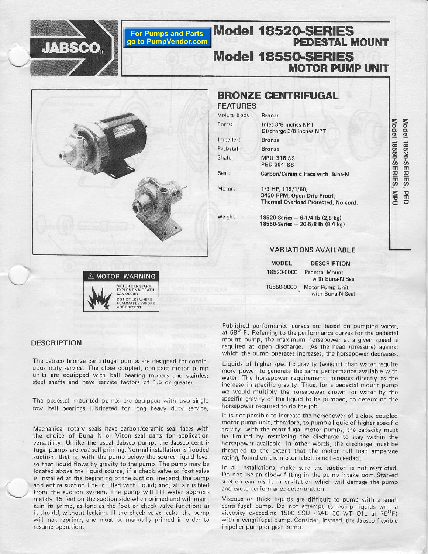



**For Pumps and Parts** go to PumpVendor.com



## **BRONZE CENTRIFUGAL**

Model 1852O-SERIES

Model 1855O.SER|ES

PEDESTAL MOUNT

**MOTOR PUMP UNIT** 

## FEATURES Volute Body: Bronze Ports: Inlet 3/8 inches NPT Discharge 3/8 inches NPT Impeller: **Bronze** Pedestal: **Bronze** Shaft: **MPU 316 SS** PED 304 SS Seal: Carbon/Ceramic Face with Buna-N Motor: 1/3 HP, 115/1/60, 3450 RPM, Open Drip Proof, Thermal Overload Protected, No cord. Weight:  $18520$ -Series - 6-1/4 lb  $(2.8 \text{ kg})$ 18550-Series - 20-5/8 lb (9,4 kg) VARIATIONS AVAILABLE

18520-0000 Pedestal Mount with Buna-N Seal 18550-0000 Motor Pump Unit<br>with Buna-N Seal MODEI OESCRIPTION

## DESCRIPTION

The Jabsco bronze centrifugal pumps are designed for continuous duty service. The close coupled, compact motor pump units are equipped with ball bearing motors and stainless steel shafts and have service factors of 1.5 or greater.

The pedestal mounted pumps are equipped with two single row ball bearings lubricated for long heavy duty service.

Mechanical rotary seals have carbon/ceramic seal faces with the choice of Buna N or Viton seal parts for application versatility. Unlike the usual Jabsco pump, the Jabsco centrifugal pumps are not self priming. Normal installation is flooded suction, that is, with the pump below the source liquid level so that liquid flows by gravity to the pump. The pump may be located above the liquid source, if a check valve or foot valve is installed at the beginning of the suction line; and, the pump and entire suction line is filled with liquid; and, all air is bled from the suction system. The pump will lift water approximately 15 feet on the suction side when primed and will maintain its prime, as long as the foot or check valve functions as it should, without leaking. If the check valve leaks, the pump will not reprime, and must be manually primed in order toresume operation.

Published performance curves are based on pumping water, at 68<sup>°</sup> F. Referring to the performance curves for the pedestal mount pump, the maximum horsepower at a given speed is required at open discharge. As the head (pressure) against which the pump operates increases, the horsepower decreases.

Liquids of higher specific gravity (weight) than water require more power to generate the same performance available with water. The horsepower requirement increases directly as the increase in specific gravity. Thus, for a pedestal mount pump we would multiply the horsepower shown for water by the specific gravity of the liquid to be pumped, to derermine the horsepower required to do the job.

It is not possible to increase the horsepower of a close coupled motor pump unit, therefore, to pumpa liquid of hiqher specific gravity with the centrifugal motor pumps, the capacity must be limited by restricting the discharge to stay within the horsepower available. In other words, the discharge must be throttled to the extent that the motor full load amperage rating, found on the motor label, is not exceeded.

In all installations, make sure the suction is not restricted. Do not use an elbow fitting in the pump intake port. Starved suction can result in cavitation which will damage the pump and cause performance deterioration.

Viscous or thick liquids are difficult to pump with a small centrifugal pump. Do not attempt to pump liquids with a viscosity exceeding 1500 SSU (SAE 30 WT OIL at  $75^{\circ}F$ ) with a cengrifugal pump. Consider, instead, the Jabsco flexible impeller pump or gear pump.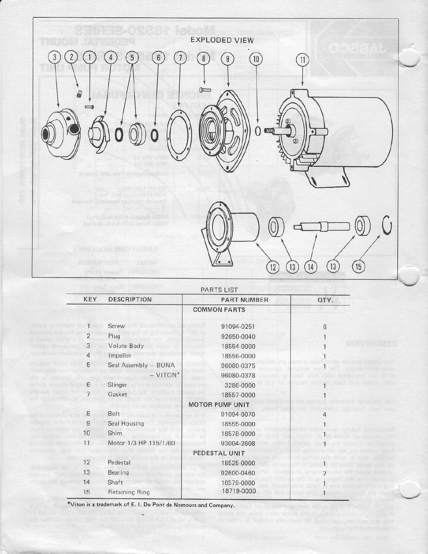

| PARTS LIST     |                       |                        |      |
|----------------|-----------------------|------------------------|------|
| KEY            | <b>DESCRIPTION</b>    | <b>PART NUMBER</b>     | QTY. |
|                |                       | <b>COMMON PARTS</b>    |      |
|                | Screw                 | 91094-0251             | 6    |
| $\overline{2}$ | Plug                  | 92650-0040             |      |
| 3              | Volute Body           | 18554-0000             |      |
| 4              | Impeller              | 18556-0000             |      |
| 5              | Seal Assembly - BUNA  | 96080-0375             |      |
|                | $-$ VITON*            | 96080-0378             |      |
| 6              | Slinger               | 3286-0000              |      |
| 7              | Gasket                | 18557-0000             |      |
|                |                       | <b>MOTOR PUMP UNIT</b> |      |
| 8              | Bolt                  | 91094-0070             |      |
| 9              | Seal Housing          | 18555-0000             |      |
| 10             | Shim                  | 18578-0000             |      |
| 11             | Motor 1/3 HP 115/1/60 | 93004-2608             |      |
|                |                       | PEDESTAL UNIT          |      |
| 12             | Pedestal              | 18525-0000             |      |
| 13             | Bearing               | 92600-0460             |      |
| 14             | Shaft                 | 18579-0000             |      |
| 15             | <b>Retaining Ring</b> | 18719-0000             |      |

\*Viton is a trademark of E. I. Du Pont de Nemours and Company.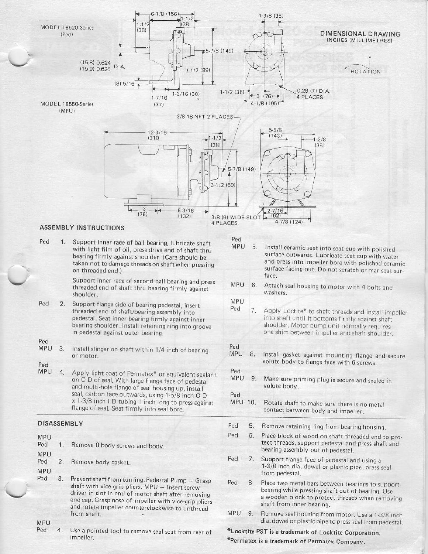

**MPU** Ped

4. Use a pointed tool to remove seal seat from rear of impeller.

\*Locktite PST is a trademark of Locktite Corporation.

\*Permatex is a trademark of Permatex Company.